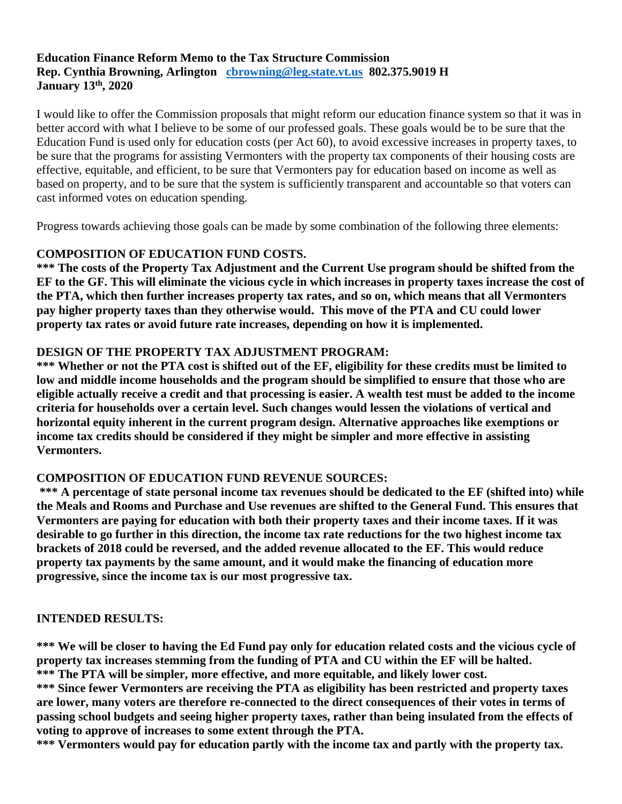## **Education Finance Reform Memo to the Tax Structure Commission Rep. Cynthia Browning, Arlington [cbrowning@leg.state.vt.us](mailto:cbrowning@leg.state.vt.us) 802.375.9019 H January 13th, 2020**

I would like to offer the Commission proposals that might reform our education finance system so that it was in better accord with what I believe to be some of our professed goals. These goals would be to be sure that the Education Fund is used only for education costs (per Act 60), to avoid excessive increases in property taxes, to be sure that the programs for assisting Vermonters with the property tax components of their housing costs are effective, equitable, and efficient, to be sure that Vermonters pay for education based on income as well as based on property, and to be sure that the system is sufficiently transparent and accountable so that voters can cast informed votes on education spending.

Progress towards achieving those goals can be made by some combination of the following three elements:

### **COMPOSITION OF EDUCATION FUND COSTS.**

**\*\*\* The costs of the Property Tax Adjustment and the Current Use program should be shifted from the EF to the GF. This will eliminate the vicious cycle in which increases in property taxes increase the cost of the PTA, which then further increases property tax rates, and so on, which means that all Vermonters pay higher property taxes than they otherwise would. This move of the PTA and CU could lower property tax rates or avoid future rate increases, depending on how it is implemented.** 

### **DESIGN OF THE PROPERTY TAX ADJUSTMENT PROGRAM:**

**\*\*\* Whether or not the PTA cost is shifted out of the EF, eligibility for these credits must be limited to low and middle income households and the program should be simplified to ensure that those who are eligible actually receive a credit and that processing is easier. A wealth test must be added to the income criteria for households over a certain level. Such changes would lessen the violations of vertical and horizontal equity inherent in the current program design. Alternative approaches like exemptions or income tax credits should be considered if they might be simpler and more effective in assisting Vermonters.**

#### **COMPOSITION OF EDUCATION FUND REVENUE SOURCES:**

**\*\*\* A percentage of state personal income tax revenues should be dedicated to the EF (shifted into) while the Meals and Rooms and Purchase and Use revenues are shifted to the General Fund. This ensures that Vermonters are paying for education with both their property taxes and their income taxes. If it was desirable to go further in this direction, the income tax rate reductions for the two highest income tax brackets of 2018 could be reversed, and the added revenue allocated to the EF. This would reduce property tax payments by the same amount, and it would make the financing of education more progressive, since the income tax is our most progressive tax.** 

#### **INTENDED RESULTS:**

**\*\*\* We will be closer to having the Ed Fund pay only for education related costs and the vicious cycle of property tax increases stemming from the funding of PTA and CU within the EF will be halted. \*\*\* The PTA will be simpler, more effective, and more equitable, and likely lower cost.**

**\*\*\* Since fewer Vermonters are receiving the PTA as eligibility has been restricted and property taxes are lower, many voters are therefore re-connected to the direct consequences of their votes in terms of passing school budgets and seeing higher property taxes, rather than being insulated from the effects of voting to approve of increases to some extent through the PTA.** 

**\*\*\* Vermonters would pay for education partly with the income tax and partly with the property tax.**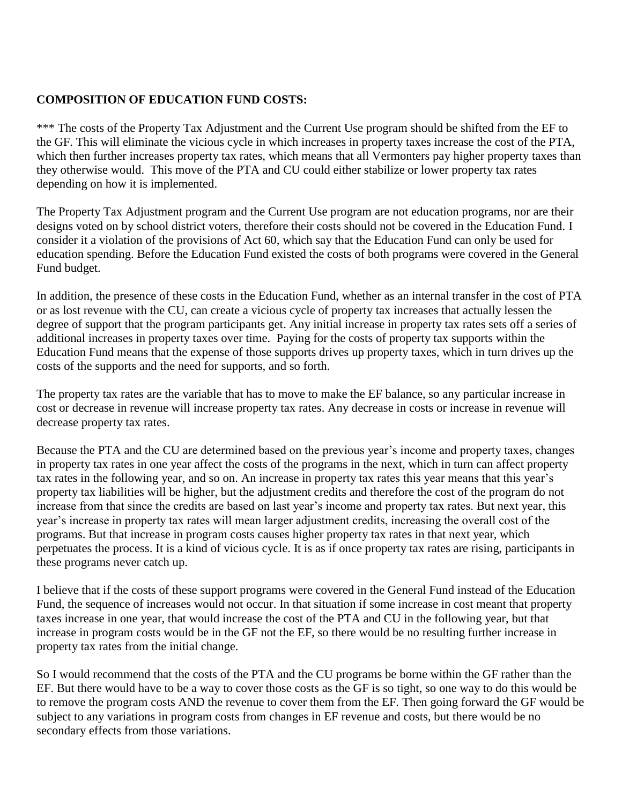# **COMPOSITION OF EDUCATION FUND COSTS:**

\*\*\* The costs of the Property Tax Adjustment and the Current Use program should be shifted from the EF to the GF. This will eliminate the vicious cycle in which increases in property taxes increase the cost of the PTA, which then further increases property tax rates, which means that all Vermonters pay higher property taxes than they otherwise would. This move of the PTA and CU could either stabilize or lower property tax rates depending on how it is implemented.

The Property Tax Adjustment program and the Current Use program are not education programs, nor are their designs voted on by school district voters, therefore their costs should not be covered in the Education Fund. I consider it a violation of the provisions of Act 60, which say that the Education Fund can only be used for education spending. Before the Education Fund existed the costs of both programs were covered in the General Fund budget.

In addition, the presence of these costs in the Education Fund, whether as an internal transfer in the cost of PTA or as lost revenue with the CU, can create a vicious cycle of property tax increases that actually lessen the degree of support that the program participants get. Any initial increase in property tax rates sets off a series of additional increases in property taxes over time. Paying for the costs of property tax supports within the Education Fund means that the expense of those supports drives up property taxes, which in turn drives up the costs of the supports and the need for supports, and so forth.

The property tax rates are the variable that has to move to make the EF balance, so any particular increase in cost or decrease in revenue will increase property tax rates. Any decrease in costs or increase in revenue will decrease property tax rates.

Because the PTA and the CU are determined based on the previous year's income and property taxes, changes in property tax rates in one year affect the costs of the programs in the next, which in turn can affect property tax rates in the following year, and so on. An increase in property tax rates this year means that this year's property tax liabilities will be higher, but the adjustment credits and therefore the cost of the program do not increase from that since the credits are based on last year's income and property tax rates. But next year, this year's increase in property tax rates will mean larger adjustment credits, increasing the overall cost of the programs. But that increase in program costs causes higher property tax rates in that next year, which perpetuates the process. It is a kind of vicious cycle. It is as if once property tax rates are rising, participants in these programs never catch up.

I believe that if the costs of these support programs were covered in the General Fund instead of the Education Fund, the sequence of increases would not occur. In that situation if some increase in cost meant that property taxes increase in one year, that would increase the cost of the PTA and CU in the following year, but that increase in program costs would be in the GF not the EF, so there would be no resulting further increase in property tax rates from the initial change.

So I would recommend that the costs of the PTA and the CU programs be borne within the GF rather than the EF. But there would have to be a way to cover those costs as the GF is so tight, so one way to do this would be to remove the program costs AND the revenue to cover them from the EF. Then going forward the GF would be subject to any variations in program costs from changes in EF revenue and costs, but there would be no secondary effects from those variations.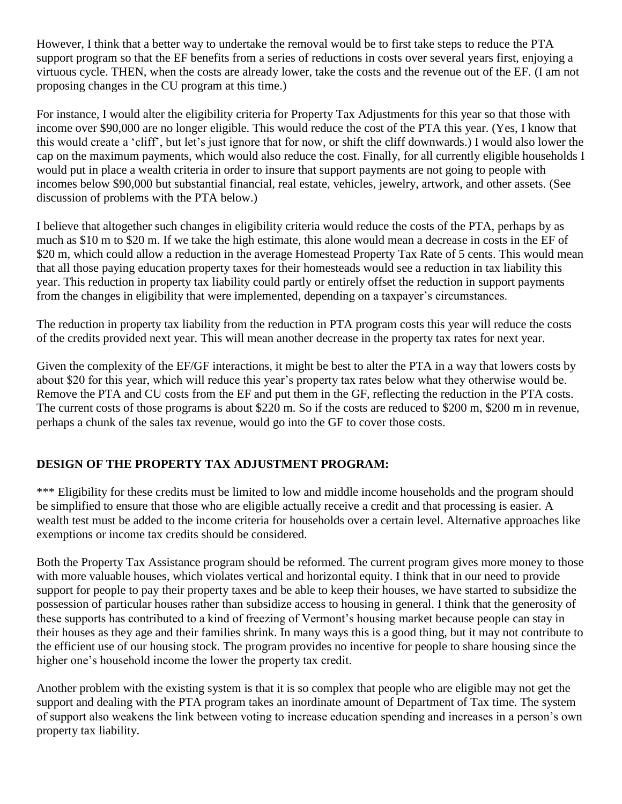However, I think that a better way to undertake the removal would be to first take steps to reduce the PTA support program so that the EF benefits from a series of reductions in costs over several years first, enjoying a virtuous cycle. THEN, when the costs are already lower, take the costs and the revenue out of the EF. (I am not proposing changes in the CU program at this time.)

For instance, I would alter the eligibility criteria for Property Tax Adjustments for this year so that those with income over \$90,000 are no longer eligible. This would reduce the cost of the PTA this year. (Yes, I know that this would create a 'cliff', but let's just ignore that for now, or shift the cliff downwards.) I would also lower the cap on the maximum payments, which would also reduce the cost. Finally, for all currently eligible households I would put in place a wealth criteria in order to insure that support payments are not going to people with incomes below \$90,000 but substantial financial, real estate, vehicles, jewelry, artwork, and other assets. (See discussion of problems with the PTA below.)

I believe that altogether such changes in eligibility criteria would reduce the costs of the PTA, perhaps by as much as \$10 m to \$20 m. If we take the high estimate, this alone would mean a decrease in costs in the EF of \$20 m, which could allow a reduction in the average Homestead Property Tax Rate of 5 cents. This would mean that all those paying education property taxes for their homesteads would see a reduction in tax liability this year. This reduction in property tax liability could partly or entirely offset the reduction in support payments from the changes in eligibility that were implemented, depending on a taxpayer's circumstances.

The reduction in property tax liability from the reduction in PTA program costs this year will reduce the costs of the credits provided next year. This will mean another decrease in the property tax rates for next year.

Given the complexity of the EF/GF interactions, it might be best to alter the PTA in a way that lowers costs by about \$20 for this year, which will reduce this year's property tax rates below what they otherwise would be. Remove the PTA and CU costs from the EF and put them in the GF, reflecting the reduction in the PTA costs. The current costs of those programs is about \$220 m. So if the costs are reduced to \$200 m, \$200 m in revenue, perhaps a chunk of the sales tax revenue, would go into the GF to cover those costs.

# **DESIGN OF THE PROPERTY TAX ADJUSTMENT PROGRAM:**

\*\*\* Eligibility for these credits must be limited to low and middle income households and the program should be simplified to ensure that those who are eligible actually receive a credit and that processing is easier. A wealth test must be added to the income criteria for households over a certain level. Alternative approaches like exemptions or income tax credits should be considered.

Both the Property Tax Assistance program should be reformed. The current program gives more money to those with more valuable houses, which violates vertical and horizontal equity. I think that in our need to provide support for people to pay their property taxes and be able to keep their houses, we have started to subsidize the possession of particular houses rather than subsidize access to housing in general. I think that the generosity of these supports has contributed to a kind of freezing of Vermont's housing market because people can stay in their houses as they age and their families shrink. In many ways this is a good thing, but it may not contribute to the efficient use of our housing stock. The program provides no incentive for people to share housing since the higher one's household income the lower the property tax credit.

Another problem with the existing system is that it is so complex that people who are eligible may not get the support and dealing with the PTA program takes an inordinate amount of Department of Tax time. The system of support also weakens the link between voting to increase education spending and increases in a person's own property tax liability.